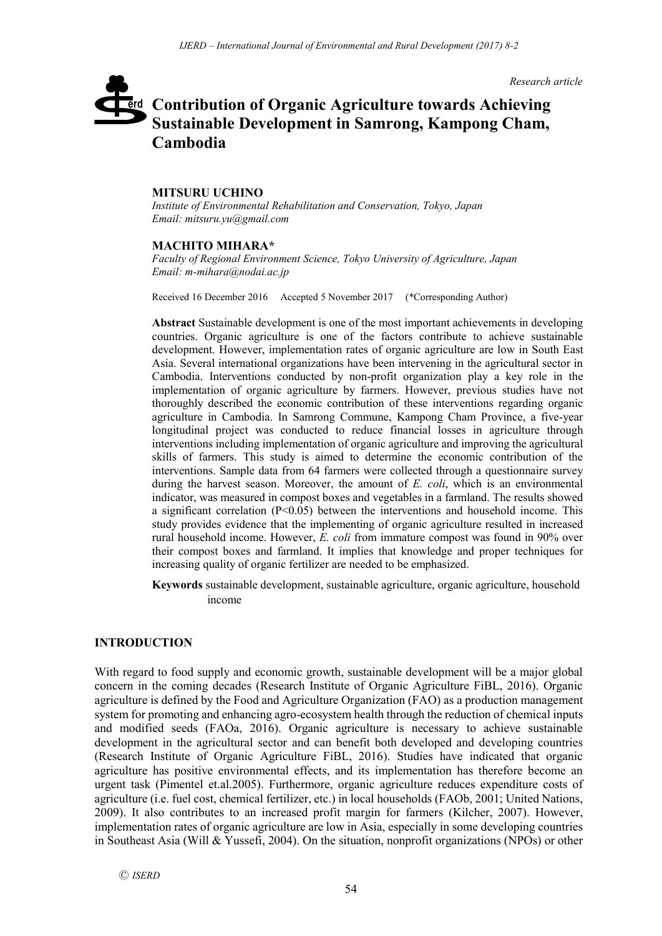*Research article*

# **Contribution of Organic Agriculture towards Achieving**  erd **Sustainable Development in Samrong, Kampong Cham, Cambodia**

## **MITSURU UCHINO**

*Institute of Environmental Rehabilitation and Conservation, Tokyo, Japan Email: mitsuru.yu@gmail.com*

## **MACHITO MIHARA\***

*Faculty of Regional Environment Science, Tokyo University of Agriculture, Japan Email: m-mihara@nodai.ac.jp*

Received 16 December 2016 Accepted 5 November 2017 (\*Corresponding Author)

**Abstract** Sustainable development is one of the most important achievements in developing countries. Organic agriculture is one of the factors contribute to achieve sustainable development. However, implementation rates of organic agriculture are low in South East Asia. Several international organizations have been intervening in the agricultural sector in Cambodia. Interventions conducted by non-profit organization play a key role in the implementation of organic agriculture by farmers. However, previous studies have not thoroughly described the economic contribution of these interventions regarding organic agriculture in Cambodia. In Samrong Commune, Kampong Cham Province, a five-year longitudinal project was conducted to reduce financial losses in agriculture through interventions including implementation of organic agriculture and improving the agricultural skills of farmers. This study is aimed to determine the economic contribution of the interventions. Sample data from 64 farmers were collected through a questionnaire survey during the harvest season. Moreover, the amount of *E. coli*, which is an environmental indicator, was measured in compost boxes and vegetables in a farmland. The results showed a significant correlation  $(P< 0.05)$  between the interventions and household income. This study provides evidence that the implementing of organic agriculture resulted in increased rural household income. However, *E. coli* from immature compost was found in 90% over their compost boxes and farmland. It implies that knowledge and proper techniques for increasing quality of organic fertilizer are needed to be emphasized.

**Keywords** sustainable development, sustainable agriculture, organic agriculture, household income

## **INTRODUCTION**

With regard to food supply and economic growth, sustainable development will be a major global concern in the coming decades (Research Institute of Organic Agriculture FiBL, 2016). Organic agriculture is defined by the Food and Agriculture Organization (FAO) as a production management system for promoting and enhancing agro-ecosystem health through the reduction of chemical inputs and modified seeds (FAOa, 2016). Organic agriculture is necessary to achieve sustainable development in the agricultural sector and can benefit both developed and developing countries (Research Institute of Organic Agriculture FiBL, 2016). Studies have indicated that organic agriculture has positive environmental effects, and its implementation has therefore become an urgent task (Pimentel et.al.2005). Furthermore, organic agriculture reduces expenditure costs of agriculture (i.e. fuel cost, chemical fertilizer, etc.) in local households (FAOb, 2001; United Nations, 2009). It also contributes to an increased profit margin for farmers (Kilcher, 2007). However, implementation rates of organic agriculture are low in Asia, especially in some developing countries in Southeast Asia (Will & Yussefi, 2004). On the situation, nonprofit organizations (NPOs) or other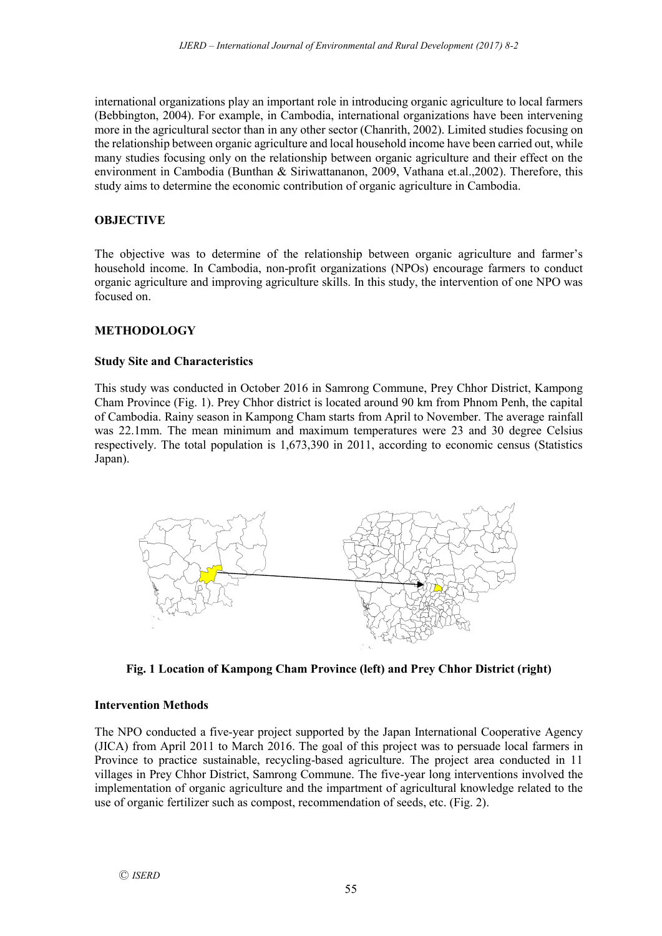international organizations play an important role in introducing organic agriculture to local farmers (Bebbington, 2004). For example, in Cambodia, international organizations have been intervening more in the agricultural sector than in any other sector (Chanrith, 2002). Limited studies focusing on the relationship between organic agriculture and local household income have been carried out, while many studies focusing only on the relationship between organic agriculture and their effect on the environment in Cambodia (Bunthan & Siriwattananon, 2009, Vathana et.al.,2002). Therefore, this study aims to determine the economic contribution of organic agriculture in Cambodia.

# **OBJECTIVE**

The objective was to determine of the relationship between organic agriculture and farmer's household income. In Cambodia, non-profit organizations (NPOs) encourage farmers to conduct organic agriculture and improving agriculture skills. In this study, the intervention of one NPO was focused on.

# **METHODOLOGY**

## **Study Site and Characteristics**

This study was conducted in October 2016 in Samrong Commune, Prey Chhor District, Kampong Cham Province (Fig. 1). Prey Chhor district is located around 90 km from Phnom Penh, the capital of Cambodia. Rainy season in Kampong Cham starts from April to November. The average rainfall was 22.1mm. The mean minimum and maximum temperatures were 23 and 30 degree Celsius respectively. The total population is 1,673,390 in 2011, according to economic census (Statistics Japan).



**Fig. 1 Location of Kampong Cham Province (left) and Prey Chhor District (right)**

## **Intervention Methods**

The NPO conducted a five-year project supported by the Japan International Cooperative Agency (JICA) from April 2011 to March 2016. The goal of this project was to persuade local farmers in Province to practice sustainable, recycling-based agriculture. The project area conducted in 11 villages in Prey Chhor District, Samrong Commune. The five-year long interventions involved the implementation of organic agriculture and the impartment of agricultural knowledge related to the use of organic fertilizer such as compost, recommendation of seeds, etc. (Fig. 2).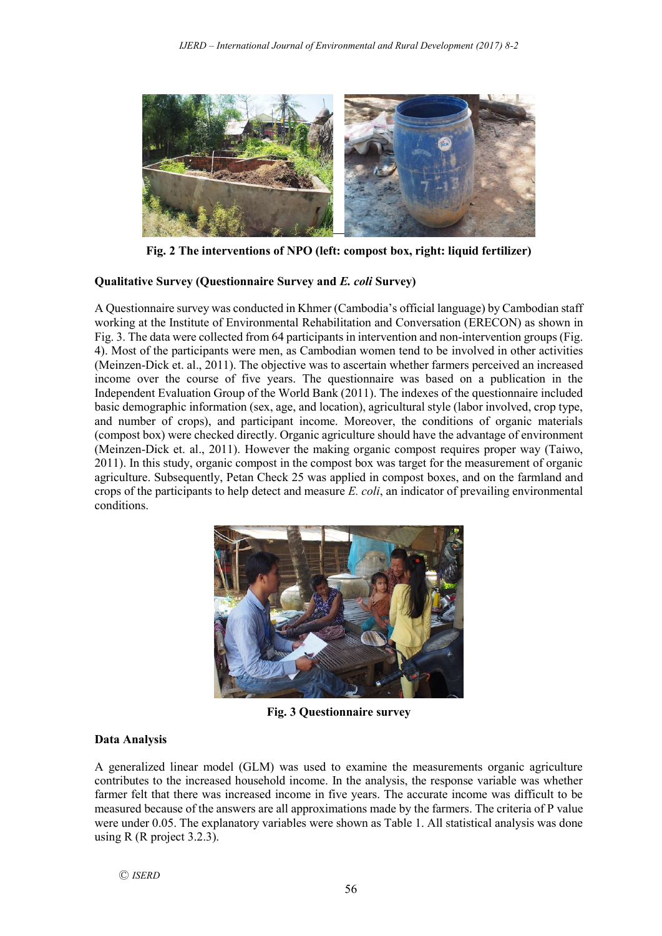

**Fig. 2 The interventions of NPO (left: compost box, right: liquid fertilizer)**

#### **Qualitative Survey (Questionnaire Survey and** *E. coli* **Survey)**

A Questionnaire survey was conducted in Khmer (Cambodia's official language) by Cambodian staff working at the Institute of Environmental Rehabilitation and Conversation (ERECON) as shown in Fig. 3. The data were collected from 64 participants in intervention and non-intervention groups (Fig. 4). Most of the participants were men, as Cambodian women tend to be involved in other activities (Meinzen-Dick et. al., 2011). The objective was to ascertain whether farmers perceived an increased income over the course of five years. The questionnaire was based on a publication in the Independent Evaluation Group of the World Bank (2011). The indexes of the questionnaire included basic demographic information (sex, age, and location), agricultural style (labor involved, crop type, and number of crops), and participant income. Moreover, the conditions of organic materials (compost box) were checked directly. Organic agriculture should have the advantage of environment (Meinzen-Dick et. al., 2011). However the making organic compost requires proper way (Taiwo, 2011). In this study, organic compost in the compost box was target for the measurement of organic agriculture. Subsequently, Petan Check 25 was applied in compost boxes, and on the farmland and crops of the participants to help detect and measure *E. coli*, an indicator of prevailing environmental conditions.



**Fig. 3 Questionnaire survey**

## **Data Analysis**

A generalized linear model (GLM) was used to examine the measurements organic agriculture contributes to the increased household income. In the analysis, the response variable was whether farmer felt that there was increased income in five years. The accurate income was difficult to be measured because of the answers are all approximations made by the farmers. The criteria of P value were under 0.05. The explanatory variables were shown as Table 1. All statistical analysis was done using R (R project  $3.2.3$ ).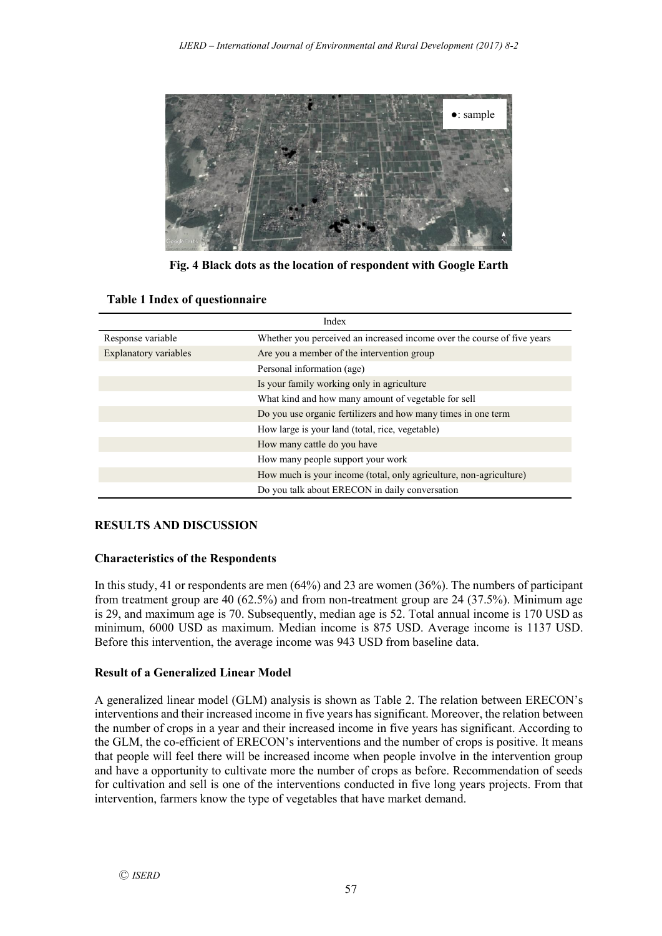

**Fig. 4 Black dots as the location of respondent with Google Earth**

| Index                        |                                                                         |  |
|------------------------------|-------------------------------------------------------------------------|--|
| Response variable            | Whether you perceived an increased income over the course of five years |  |
| <b>Explanatory variables</b> | Are you a member of the intervention group                              |  |
|                              | Personal information (age)                                              |  |
|                              | Is your family working only in agriculture                              |  |
|                              | What kind and how many amount of vegetable for sell                     |  |
|                              | Do you use organic fertilizers and how many times in one term           |  |
|                              | How large is your land (total, rice, vegetable)                         |  |
|                              | How many cattle do you have                                             |  |
|                              | How many people support your work                                       |  |
|                              | How much is your income (total, only agriculture, non-agriculture)      |  |
|                              | Do you talk about ERECON in daily conversation                          |  |

## **Table 1 Index of questionnaire**

## **RESULTS AND DISCUSSION**

## **Characteristics of the Respondents**

In this study, 41 or respondents are men (64%) and 23 are women (36%). The numbers of participant from treatment group are 40 (62.5%) and from non-treatment group are 24 (37.5%). Minimum age is 29, and maximum age is 70. Subsequently, median age is 52. Total annual income is 170 USD as minimum, 6000 USD as maximum. Median income is 875 USD. Average income is 1137 USD. Before this intervention, the average income was 943 USD from baseline data.

## **Result of a Generalized Linear Model**

A generalized linear model (GLM) analysis is shown as Table 2. The relation between ERECON's interventions and their increased income in five years has significant. Moreover, the relation between the number of crops in a year and their increased income in five years has significant. According to the GLM, the co-efficient of ERECON's interventions and the number of crops is positive. It means that people will feel there will be increased income when people involve in the intervention group and have a opportunity to cultivate more the number of crops as before. Recommendation of seeds for cultivation and sell is one of the interventions conducted in five long years projects. From that intervention, farmers know the type of vegetables that have market demand.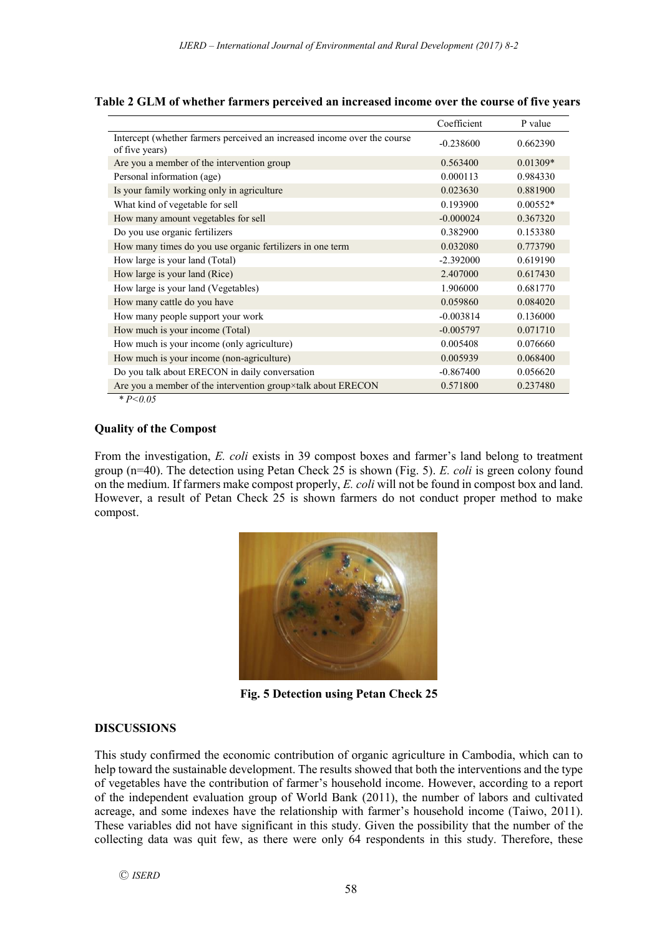|                                                                                            | Coefficient | P value    |
|--------------------------------------------------------------------------------------------|-------------|------------|
| Intercept (whether farmers perceived an increased income over the course<br>of five years) | $-0.238600$ | 0.662390   |
| Are you a member of the intervention group                                                 | 0.563400    | $0.01309*$ |
| Personal information (age)                                                                 | 0.000113    | 0.984330   |
| Is your family working only in agriculture                                                 | 0.023630    | 0.881900   |
| What kind of vegetable for sell                                                            | 0.193900    | $0.00552*$ |
| How many amount vegetables for sell                                                        | $-0.000024$ | 0.367320   |
| Do you use organic fertilizers                                                             | 0.382900    | 0.153380   |
| How many times do you use organic fertilizers in one term                                  | 0.032080    | 0.773790   |
| How large is your land (Total)                                                             | $-2.392000$ | 0.619190   |
| How large is your land (Rice)                                                              | 2.407000    | 0.617430   |
| How large is your land (Vegetables)                                                        | 1.906000    | 0.681770   |
| How many cattle do you have                                                                | 0.059860    | 0.084020   |
| How many people support your work                                                          | $-0.003814$ | 0.136000   |
| How much is your income (Total)                                                            | $-0.005797$ | 0.071710   |
| How much is your income (only agriculture)                                                 | 0.005408    | 0.076660   |
| How much is your income (non-agriculture)                                                  | 0.005939    | 0.068400   |
| Do you talk about ERECON in daily conversation                                             | $-0.867400$ | 0.056620   |
| Are you a member of the intervention group×talk about ERECON                               | 0.571800    | 0.237480   |

#### **Table 2 GLM of whether farmers perceived an increased income over the course of five years**

*\* P<0.05*

#### **Quality of the Compost**

From the investigation, *E. coli* exists in 39 compost boxes and farmer's land belong to treatment group (n=40). The detection using Petan Check 25 is shown (Fig. 5). *E. coli* is green colony found on the medium. If farmers make compost properly, *E. coli* will not be found in compost box and land. However, a result of Petan Check 25 is shown farmers do not conduct proper method to make compost.



**Fig. 5 Detection using Petan Check 25**

## **DISCUSSIONS**

This study confirmed the economic contribution of organic agriculture in Cambodia, which can to help toward the sustainable development. The results showed that both the interventions and the type of vegetables have the contribution of farmer's household income. However, according to a report of the independent evaluation group of World Bank (2011), the number of labors and cultivated acreage, and some indexes have the relationship with farmer's household income (Taiwo, 2011). These variables did not have significant in this study. Given the possibility that the number of the collecting data was quit few, as there were only 64 respondents in this study. Therefore, these